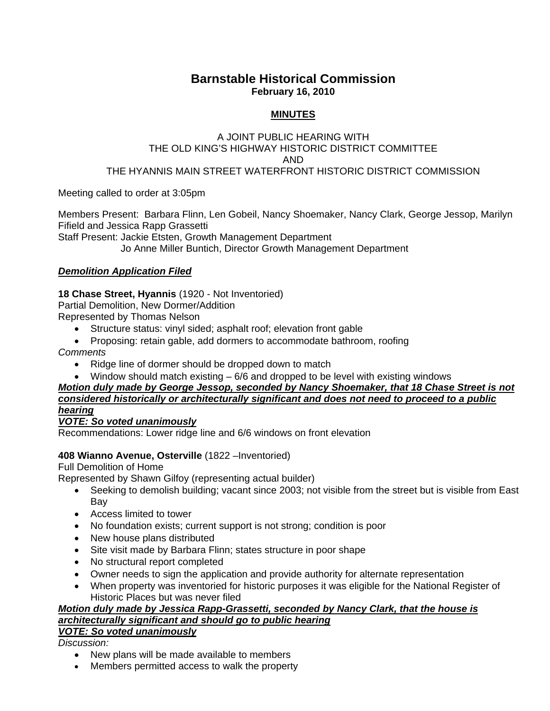# **Barnstable Historical Commission February 16, 2010**

### **MINUTES**

## A JOINT PUBLIC HEARING WITH THE OLD KING'S HIGHWAY HISTORIC DISTRICT COMMITTEE AND

#### THE HYANNIS MAIN STREET WATERFRONT HISTORIC DISTRICT COMMISSION

Meeting called to order at 3:05pm

Members Present: Barbara Flinn, Len Gobeil, Nancy Shoemaker, Nancy Clark, George Jessop, Marilyn Fifield and Jessica Rapp Grassetti

Staff Present: Jackie Etsten, Growth Management Department

Jo Anne Miller Buntich, Director Growth Management Department

### *Demolition Application Filed*

### **18 Chase Street, Hyannis** (1920 - Not Inventoried)

Partial Demolition, New Dormer/Addition

Represented by Thomas Nelson

- Structure status: vinyl sided; asphalt roof; elevation front gable
- Proposing: retain gable, add dormers to accommodate bathroom, roofing

*Comments*

- Ridge line of dormer should be dropped down to match
- Window should match existing 6/6 and dropped to be level with existing windows

### *Motion duly made by George Jessop, seconded by Nancy Shoemaker, that 18 Chase Street is not considered historically or architecturally significant and does not need to proceed to a public hearing*

#### *VOTE: So voted unanimously*

Recommendations: Lower ridge line and 6/6 windows on front elevation

#### **408 Wianno Avenue, Osterville** (1822 –Inventoried)

Full Demolition of Home

Represented by Shawn Gilfoy (representing actual builder)

- Seeking to demolish building; vacant since 2003; not visible from the street but is visible from East Bay
- Access limited to tower
- No foundation exists; current support is not strong; condition is poor
- New house plans distributed
- Site visit made by Barbara Flinn; states structure in poor shape
- No structural report completed
- Owner needs to sign the application and provide authority for alternate representation
- When property was inventoried for historic purposes it was eligible for the National Register of Historic Places but was never filed

# *Motion duly made by Jessica Rapp-Grassetti, seconded by Nancy Clark, that the house is architecturally significant and should go to public hearing*

#### *VOTE: So voted unanimously*

*Discussion:* 

- New plans will be made available to members
- Members permitted access to walk the property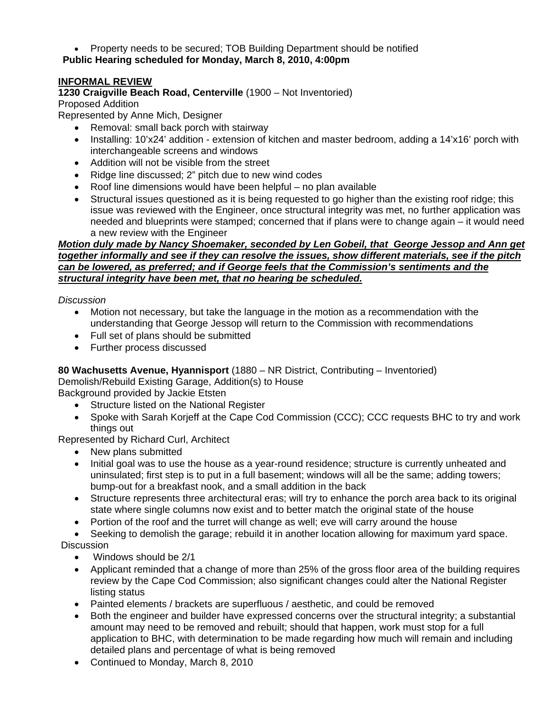Property needs to be secured; TOB Building Department should be notified

# **Public Hearing scheduled for Monday, March 8, 2010, 4:00pm**

# **INFORMAL REVIEW**

## **1230 Craigville Beach Road, Centerville** (1900 – Not Inventoried)

Proposed Addition

Represented by Anne Mich, Designer

- Removal: small back porch with stairway
- Installing: 10'x24' addition extension of kitchen and master bedroom, adding a 14'x16' porch with interchangeable screens and windows
- Addition will not be visible from the street
- Ridge line discussed; 2" pitch due to new wind codes
- Roof line dimensions would have been helpful no plan available
- Structural issues questioned as it is being requested to go higher than the existing roof ridge; this issue was reviewed with the Engineer, once structural integrity was met, no further application was needed and blueprints were stamped; concerned that if plans were to change again – it would need a new review with the Engineer

#### *Motion duly made by Nancy Shoemaker, seconded by Len Gobeil, that George Jessop and Ann get together informally and see if they can resolve the issues, show different materials, see if the pitch can be lowered, as preferred; and if George feels that the Commission's sentiments and the structural integrity have been met, that no hearing be scheduled.*

*Discussion* 

- Motion not necessary, but take the language in the motion as a recommendation with the understanding that George Jessop will return to the Commission with recommendations
- Full set of plans should be submitted
- Further process discussed

# **80 Wachusetts Avenue, Hyannisport** (1880 – NR District, Contributing – Inventoried)

Demolish/Rebuild Existing Garage, Addition(s) to House

Background provided by Jackie Etsten

- Structure listed on the National Register
- Spoke with Sarah Korjeff at the Cape Cod Commission (CCC); CCC requests BHC to try and work things out

Represented by Richard Curl, Architect

- New plans submitted
- Initial goal was to use the house as a year-round residence; structure is currently unheated and uninsulated; first step is to put in a full basement; windows will all be the same; adding towers; bump-out for a breakfast nook, and a small addition in the back
- Structure represents three architectural eras; will try to enhance the porch area back to its original state where single columns now exist and to better match the original state of the house
- Portion of the roof and the turret will change as well; eve will carry around the house

 Seeking to demolish the garage; rebuild it in another location allowing for maximum yard space. **Discussion** 

- Windows should be 2/1
- Applicant reminded that a change of more than 25% of the gross floor area of the building requires review by the Cape Cod Commission; also significant changes could alter the National Register listing status
- Painted elements / brackets are superfluous / aesthetic, and could be removed
- Both the engineer and builder have expressed concerns over the structural integrity; a substantial amount may need to be removed and rebuilt; should that happen, work must stop for a full application to BHC, with determination to be made regarding how much will remain and including detailed plans and percentage of what is being removed
- Continued to Monday, March 8, 2010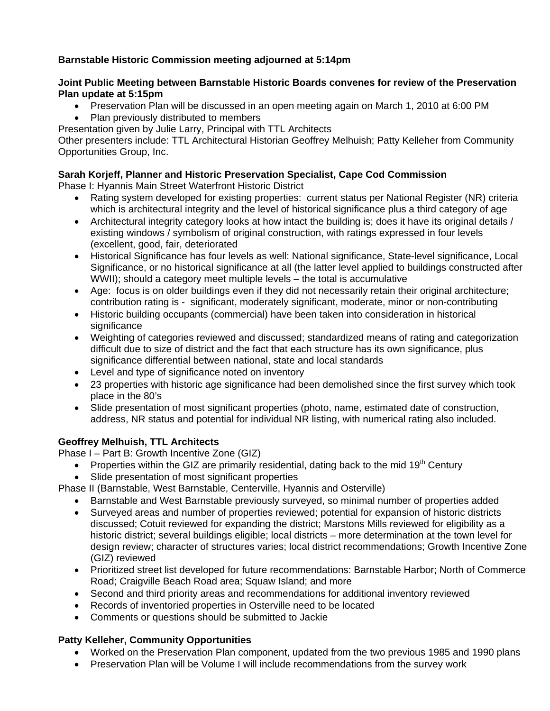# **Barnstable Historic Commission meeting adjourned at 5:14pm**

### **Joint Public Meeting between Barnstable Historic Boards convenes for review of the Preservation Plan update at 5:15pm**

- Preservation Plan will be discussed in an open meeting again on March 1, 2010 at 6:00 PM
- Plan previously distributed to members
- Presentation given by Julie Larry, Principal with TTL Architects

Other presenters include: TTL Architectural Historian Geoffrey Melhuish; Patty Kelleher from Community Opportunities Group, Inc.

# **Sarah Korjeff, Planner and Historic Preservation Specialist, Cape Cod Commission**

Phase I: Hyannis Main Street Waterfront Historic District

- Rating system developed for existing properties: current status per National Register (NR) criteria which is architectural integrity and the level of historical significance plus a third category of age
- Architectural integrity category looks at how intact the building is; does it have its original details / existing windows / symbolism of original construction, with ratings expressed in four levels (excellent, good, fair, deteriorated
- Historical Significance has four levels as well: National significance, State-level significance, Local Significance, or no historical significance at all (the latter level applied to buildings constructed after WWII); should a category meet multiple levels – the total is accumulative
- Age: focus is on older buildings even if they did not necessarily retain their original architecture; contribution rating is - significant, moderately significant, moderate, minor or non-contributing
- Historic building occupants (commercial) have been taken into consideration in historical significance
- Weighting of categories reviewed and discussed; standardized means of rating and categorization difficult due to size of district and the fact that each structure has its own significance, plus significance differential between national, state and local standards
- Level and type of significance noted on inventory
- 23 properties with historic age significance had been demolished since the first survey which took place in the 80's
- Slide presentation of most significant properties (photo, name, estimated date of construction, address, NR status and potential for individual NR listing, with numerical rating also included.

# **Geoffrey Melhuish, TTL Architects**

Phase I – Part B: Growth Incentive Zone (GIZ)

- Properties within the GIZ are primarily residential, dating back to the mid 19<sup>th</sup> Century
- Slide presentation of most significant properties

Phase II (Barnstable, West Barnstable, Centerville, Hyannis and Osterville)

- Barnstable and West Barnstable previously surveyed, so minimal number of properties added
- Surveyed areas and number of properties reviewed; potential for expansion of historic districts discussed; Cotuit reviewed for expanding the district; Marstons Mills reviewed for eligibility as a historic district; several buildings eligible; local districts – more determination at the town level for design review; character of structures varies; local district recommendations; Growth Incentive Zone (GIZ) reviewed
- Prioritized street list developed for future recommendations: Barnstable Harbor; North of Commerce Road; Craigville Beach Road area; Squaw Island; and more
- Second and third priority areas and recommendations for additional inventory reviewed
- Records of inventoried properties in Osterville need to be located
- Comments or questions should be submitted to Jackie

# **Patty Kelleher, Community Opportunities**

- Worked on the Preservation Plan component, updated from the two previous 1985 and 1990 plans
- Preservation Plan will be Volume I will include recommendations from the survey work